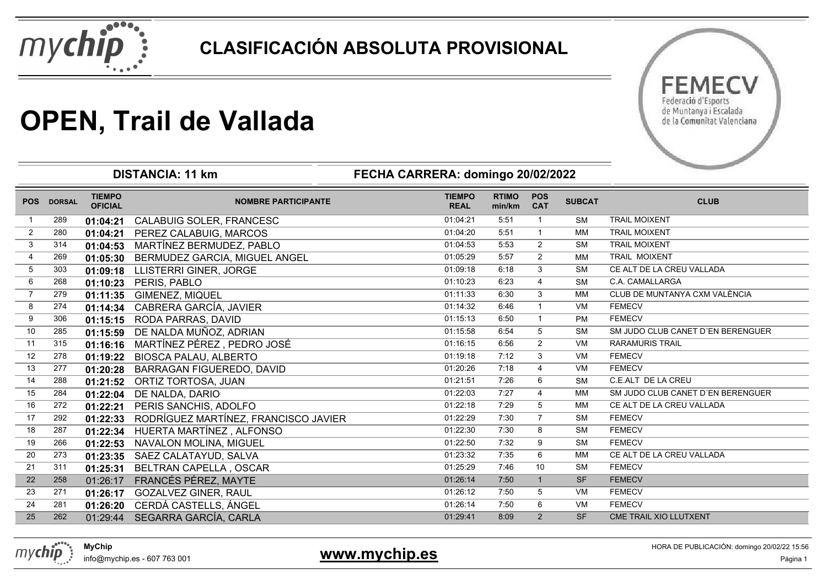



# **OPEN, Trail de Vallada**

|                |               |                                 | <b>DISTANCIA: 11 km</b>              | FECHA CARRERA: domingo 20/02/2022 |                        |                          |               |                                   |
|----------------|---------------|---------------------------------|--------------------------------------|-----------------------------------|------------------------|--------------------------|---------------|-----------------------------------|
| <b>POS</b>     | <b>DORSAL</b> | <b>TIEMPO</b><br><b>OFICIAL</b> | <b>NOMBRE PARTICIPANTE</b>           | <b>TIEMPO</b><br><b>REAL</b>      | <b>RTIMO</b><br>min/km | <b>POS</b><br><b>CAT</b> | <b>SUBCAT</b> | <b>CLUB</b>                       |
|                | 289           | 01:04:21                        | CALABUIG SOLER, FRANCESC             | 01:04:21                          | 5:51                   | $\mathbf{1}$             | <b>SM</b>     | <b>TRAIL MOIXENT</b>              |
| $\overline{2}$ | 280           | 01:04:21                        | PEREZ CALABUIG, MARCOS               | 01:04:20                          | 5:51                   | $\mathbf{1}$             | МM            | <b>TRAIL MOIXENT</b>              |
| 3              | 314           | 01:04:53                        | MARTÍNEZ BERMUDEZ, PABLO             | 01:04:53                          | 5:53                   | $\overline{2}$           | <b>SM</b>     | <b>TRAIL MOIXENT</b>              |
| $\overline{4}$ | 269           | 01:05:30                        | BERMUDEZ GARCIA, MIGUEL ANGEL        | 01:05:29                          | 5:57                   | $\overline{2}$           | МM            | TRAIL MOIXENT                     |
| 5              | 303           | 01:09:18                        | LLISTERRI GINER, JORGE               | 01:09:18                          | 6:18                   | 3                        | <b>SM</b>     | CE ALT DE LA CREU VALLADA         |
| 6              | 268           | 01:10:23                        | PERIS, PABLO                         | 01:10:23                          | 6:23                   | $\overline{4}$           | <b>SM</b>     | C.A. CAMALLARGA                   |
|                | 279           | 01:11:35                        | GIMENEZ, MIQUEL                      | 01:11:33                          | 6:30                   | 3                        | МM            | CLUB DE MUNTANYA CXM VALÈNCIA     |
| 8              | 274           | 01:14:34                        | CABRERA GARCÍA, JAVIER               | 01:14:32                          | 6:46                   | $\mathbf{1}$             | <b>VM</b>     | <b>FEMECV</b>                     |
| 9              | 306           | 01:15:15                        | RODA PARRAS, DAVID                   | 01:15:13                          | 6:50                   | $\overline{1}$           | <b>PM</b>     | <b>FEMECV</b>                     |
| 10             | 285           | 01:15:59                        | DE NALDA MUÑOZ, ADRIAN               | 01:15:58                          | 6:54                   | 5                        | <b>SM</b>     | SM JUDO CLUB CANET D'EN BERENGUER |
| 11             | 315           | 01:16:16                        | MARTÍNEZ PÉREZ, PEDRO JOSÉ           | 01:16:15                          | 6:56                   | 2                        | <b>VM</b>     | <b>RARAMURIS TRAIL</b>            |
| 12             | 278           | 01:19:22                        | <b>BIOSCA PALAU, ALBERTO</b>         | 01:19:18                          | 7:12                   | 3                        | VM            | <b>FEMECV</b>                     |
| 13             | 277           | 01:20:28                        | BARRAGAN FIGUEREDO, DAVID            | 01:20:26                          | 7:18                   | $\overline{4}$           | <b>VM</b>     | <b>FEMECV</b>                     |
| 14             | 288           | 01:21:52                        | ORTIZ TORTOSA, JUAN                  | 01:21:51                          | 7:26                   | 6                        | <b>SM</b>     | C.E.ALT DE LA CREU                |
| 15             | 284           | 01:22:04                        | DE NALDA, DARIO                      | 01:22:03                          | 7:27                   | 4                        | МM            | SM JUDO CLUB CANET D'EN BERENGUER |
| 16             | 272           | 01:22:21                        | PERIS SANCHIS, ADOLFO                | 01:22:18                          | 7:29                   | 5                        | МM            | CE ALT DE LA CREU VALLADA         |
| 17             | 292           | 01:22:33                        | RODRÍGUEZ MARTÍNEZ, FRANCISCO JAVIER | 01:22:29                          | 7:30                   | $\overline{7}$           | SM            | <b>FEMECV</b>                     |
| 18             | 287           | 01:22:34                        | HUERTA MARTÍNEZ, ALFONSO             | 01:22:30                          | 7:30                   | 8                        | <b>SM</b>     | <b>FEMECV</b>                     |
| 19             | 266           | 01:22:53                        | NAVALON MOLINA, MIGUEL               | 01:22:50                          | 7:32                   | 9                        | <b>SM</b>     | <b>FEMECV</b>                     |
| 20             | 273           | 01:23:35                        | SAEZ CALATAYUD, SALVA                | 01:23:32                          | 7:35                   | 6                        | МM            | CE ALT DE LA CREU VALLADA         |
| 21             | 311           | 01:25:31                        | BELTRAN CAPELLA, OSCAR               | 01:25:29                          | 7:46                   | 10                       | <b>SM</b>     | <b>FEMECV</b>                     |
| 22             | 258           | 01:26:17                        | FRANCÉS PÉREZ, MAYTE                 | 01:26:14                          | 7:50                   | $\mathbf{1}$             | <b>SF</b>     | <b>FEMECV</b>                     |
| 23             | 271           | 01:26:17                        | <b>GOZALVEZ GINER, RAUL</b>          | 01:26:12                          | 7:50                   | 5                        | VM            | <b>FEMECV</b>                     |
| 24             | 281           | 01:26:20                        | CERDÁ CASTELLS, ÁNGEL                | 01:26:14                          | 7:50                   | 6                        | VM            | <b>FEMECV</b>                     |
| 25             | 262           | 01:29:44                        | SEGARRA GARCÍA, CARLA                | 01:29:41                          | 8:09                   | 2                        | <b>SF</b>     | CME TRAIL XIO LLUTXENT            |



info@mychip.es - 607 763 001

#### **www.mychip.es**

HORA DE PUBLICACIÓN: domingo 20/02/22 15:56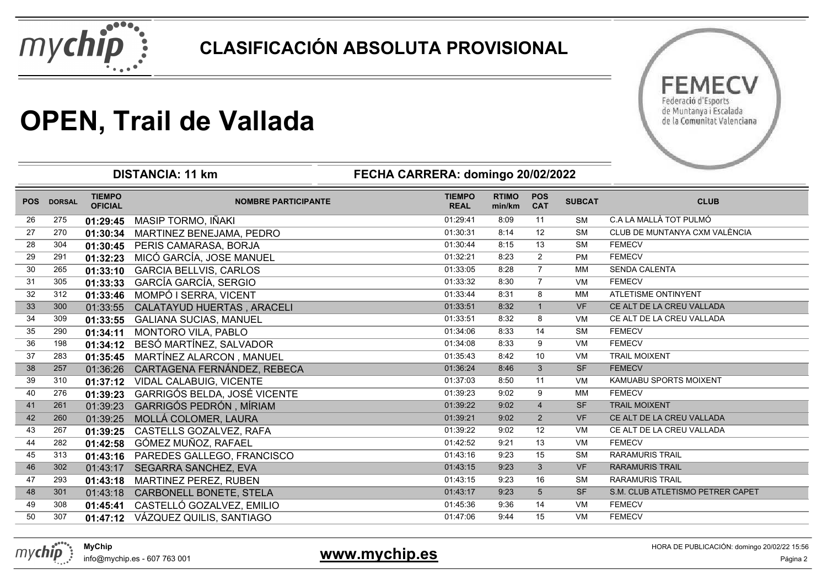



# **OPEN, Trail de Vallada**

|            |               |                                 | <b>DISTANCIA: 11 km</b>           | FECHA CARRERA: domingo 20/02/2022 |                        |                          |               |                                  |
|------------|---------------|---------------------------------|-----------------------------------|-----------------------------------|------------------------|--------------------------|---------------|----------------------------------|
| <b>POS</b> | <b>DORSAL</b> | <b>TIEMPO</b><br><b>OFICIAL</b> | <b>NOMBRE PARTICIPANTE</b>        | <b>TIEMPO</b><br><b>REAL</b>      | <b>RTIMO</b><br>min/km | <b>POS</b><br><b>CAT</b> | <b>SUBCAT</b> | <b>CLUB</b>                      |
| 26         | 275           | 01:29:45                        | MASIP TORMO, IÑAKI                | 01:29:41                          | 8:09                   | 11                       | <b>SM</b>     | C.A LA MALLÀ TOT PULMÓ           |
| 27         | 270           | 01:30:34                        | MARTINEZ BENEJAMA, PEDRO          | 01:30:31                          | 8:14                   | 12                       | <b>SM</b>     | CLUB DE MUNTANYA CXM VALÈNCIA    |
| 28         | 304           | 01:30:45                        | PERIS CAMARASA, BORJA             | 01:30:44                          | 8:15                   | 13                       | <b>SM</b>     | <b>FEMECV</b>                    |
| 29         | 291           | 01:32:23                        | MICÓ GARCÍA, JOSE MANUEL          | 01:32:21                          | 8:23                   | $\overline{2}$           | <b>PM</b>     | <b>FEMECV</b>                    |
| 30         | 265           | 01:33:10                        | <b>GARCIA BELLVIS, CARLOS</b>     | 01:33:05                          | 8:28                   | $\overline{7}$           | МM            | <b>SENDA CALENTA</b>             |
| 31         | 305           | 01:33:33                        | <b>GARCÍA GARCÍA, SERGIO</b>      | 01:33:32                          | 8:30                   | $\overline{7}$           | <b>VM</b>     | <b>FEMECV</b>                    |
| 32         | 312           | 01:33:46                        | MOMPÓ I SERRA, VICENT             | 01:33:44                          | 8:31                   | 8                        | МM            | <b>ATLETISME ONTINYENT</b>       |
| 33         | 300           | 01:33:55                        | CALATAYUD HUERTAS, ARACELI        | 01:33:51                          | 8:32                   | $\overline{1}$           | <b>VF</b>     | CE ALT DE LA CREU VALLADA        |
| 34         | 309           | 01:33:55                        | <b>GALIANA SUCIAS, MANUEL</b>     | 01:33:51                          | 8:32                   | 8                        | VM            | CE ALT DE LA CREU VALLADA        |
| 35         | 290           | 01:34:11                        | MONTORO VILA, PABLO               | 01:34:06                          | 8:33                   | 14                       | <b>SM</b>     | <b>FEMECV</b>                    |
| 36         | 198           | 01:34:12                        | BESÓ MARTÍNEZ, SALVADOR           | 01:34:08                          | 8:33                   | 9                        | VM            | <b>FEMECV</b>                    |
| 37         | 283           | 01:35:45                        | MARTÍNEZ ALARCON, MANUEL          | 01:35:43                          | 8:42                   | 10                       | VM            | <b>TRAIL MOIXENT</b>             |
| 38         | 257           | 01:36:26                        | CARTAGENA FERNÁNDEZ, REBECA       | 01:36:24                          | 8:46                   | 3                        | <b>SF</b>     | <b>FEMECV</b>                    |
| 39         | 310           | 01:37:12                        | VIDAL CALABUIG, VICENTE           | 01:37:03                          | 8:50                   | 11                       | VM            | KAMUABU SPORTS MOIXENT           |
| 40         | 276           | 01:39:23                        | GARRIGÓS BELDA, JOSÉ VICENTE      | 01:39:23                          | 9:02                   | 9                        | МM            | <b>FEMECV</b>                    |
| 41         | 261           | 01:39:23                        | GARRIGÓS PEDRÓN, MÍRIAM           | 01:39:22                          | 9:02                   | $\overline{4}$           | <b>SF</b>     | <b>TRAIL MOIXENT</b>             |
| 42         | 260           | 01:39:25                        | MOLLÁ COLOMER, LAURA              | 01:39:21                          | 9:02                   | 2                        | <b>VF</b>     | CE ALT DE LA CREU VALLADA        |
| 43         | 267           | 01:39:25                        | CASTELLS GOZALVEZ, RAFA           | 01:39:22                          | 9:02                   | 12                       | <b>VM</b>     | CE ALT DE LA CREU VALLADA        |
| 44         | 282           | 01:42:58                        | GÓMEZ MUÑOZ, RAFAEL               | 01:42:52                          | 9:21                   | 13                       | <b>VM</b>     | <b>FEMECV</b>                    |
| 45         | 313           | 01:43:16                        | PAREDES GALLEGO, FRANCISCO        | 01:43:16                          | 9:23                   | 15                       | <b>SM</b>     | <b>RARAMURIS TRAIL</b>           |
| 46         | 302           | 01:43:17                        | SEGARRA SANCHEZ, EVA              | 01:43:15                          | 9:23                   | 3                        | <b>VF</b>     | <b>RARAMURIS TRAIL</b>           |
| 47         | 293           | 01:43:18                        | <b>MARTINEZ PEREZ, RUBEN</b>      | 01:43:15                          | 9:23                   | 16                       | <b>SM</b>     | <b>RARAMURIS TRAIL</b>           |
| 48         | 301           | 01:43:18                        | CARBONELL BONETE, STELA           | 01:43:17                          | 9:23                   | 5                        | <b>SF</b>     | S.M. CLUB ATLETISMO PETRER CAPET |
| 49         | 308           | 01:45:41                        | CASTELLÓ GOZALVEZ, EMILIO         | 01:45:36                          | 9:36                   | 14                       | VM            | <b>FEMECV</b>                    |
| 50         | 307           |                                 | 01:47:12 VÁZQUEZ QUILIS, SANTIAGO | 01:47:06                          | 9:44                   | 15                       | VM            | <b>FEMECV</b>                    |



info@mychip.es - 607 763 001

#### 1 and **1 and 1 and 1 and 1 and 1 and 1 and 1 and 1 and 1 and 1 and 1 and 1 and 1 and 1 and 1 and 1 and 1 and 1 and 1 and 1 and 1 and 1 and 1 and 1 and 1 and 1 and 1 and 1 and 1 and 1 and 1 and 1 and 1 and 1 and 1 and 1 and**